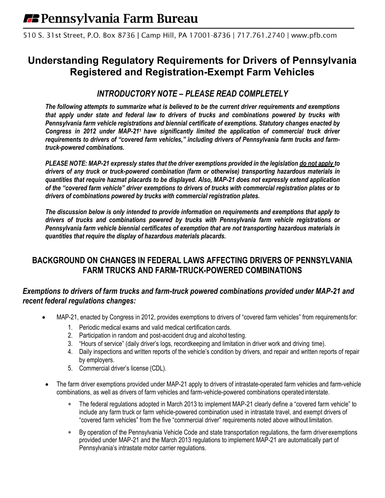510 S. 31st Street, P.O. Box 8736 | Camp Hill, PA 17001-8736 | 717.761.2740 | www.pfb.com

# **Understanding Regulatory Requirements for Drivers of Pennsylvania Registered and Registration-Exempt Farm Vehicles**

# *INTRODUCTORY NOTE – PLEASE READ COMPLETELY*

*The following attempts to summarize what is believed to be the current driver requirements and exemptions that apply under state and federal law to drivers of trucks and combinations powered by trucks with Pennsylvania farm vehicle registrations and biennial certificate of exemptions. Statutory changes enacted by Congress in 2012 under MAP-211 have significantly limited the application of commercial truck driver requirements to drivers of "covered farm vehicles," including drivers of Pennsylvania farm trucks and farmtruck-powered combinations.*

*PLEASE NOTE: MAP-21 expressly states that the driver exemptions provided in the legislation do not apply to drivers of any truck or truck-powered combination (farm or otherwise) transporting hazardous materials in quantities that require hazmat placards to be displayed. Also, MAP-21 does not expressly extend application of the "covered farm vehicle" driver exemptions to drivers of trucks with commercial registration plates or to drivers of combinations powered by trucks with commercial registration plates.*

*The discussion below is only intended to provide information on requirements and exemptions that apply to drivers of trucks and combinations powered by trucks with Pennsylvania farm vehicle registrations or Pennsylvania farm vehicle biennial certificates of exemption that are not transporting hazardous materials in quantities that require the display of hazardous materials placards.*

# **BACKGROUND ON CHANGES IN FEDERAL LAWS AFFECTING DRIVERS OF PENNSYLVANIA FARM TRUCKS AND FARM-TRUCK-POWERED COMBINATIONS**

## *Exemptions to drivers of farm trucks and farm-truck powered combinations provided under MAP-21 and recent federal regulations changes:*

- MAP-21, enacted by Congress in 2012, provides exemptions to drivers of "covered farm vehicles" from requirementsfor:
	- 1. Periodic medical exams and valid medical certification cards.
	- 2. Participation in random and post-accident drug and alcohol testing.
	- 3. "Hours of service" (daily driver's logs, recordkeeping and limitation in driver work and driving time).
	- 4. Daily inspections and written reports of the vehicle's condition by drivers, and repair and written reports of repair by employers.
	- 5. Commercial driver's license (CDL).
- The farm driver exemptions provided under MAP-21 apply to drivers of intrastate-operated farm vehicles and farm-vehicle combinations, as well as drivers of farm vehicles and farm-vehicle-powered combinations operatedinterstate.
	- The federal regulations adopted in March 2013 to implement MAP-21 clearly define a "covered farm vehicle" to include any farm truck or farm vehicle-powered combination used in intrastate travel, and exempt drivers of "covered farm vehicles" from the five "commercial driver" requirements noted above without limitation.
	- By operation of the Pennsylvania Vehicle Code and state transportation regulations, the farm driverexemptions provided under MAP-21 and the March 2013 regulations to implement MAP-21 are automatically part of Pennsylvania's intrastate motor carrier regulations.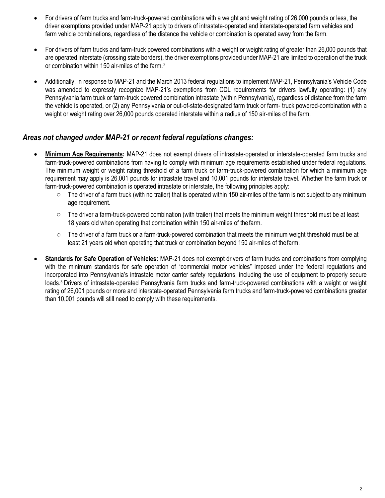- For drivers of farm trucks and farm-truck-powered combinations with a weight and weight rating of 26,000 pounds or less, the driver exemptions provided under MAP-21 apply to drivers of intrastate-operated and interstate-operated farm vehicles and farm vehicle combinations, regardless of the distance the vehicle or combination is operated away from the farm.
- For drivers of farm trucks and farm-truck powered combinations with a weight or weight rating of greater than 26,000 pounds that are operated interstate (crossing state borders), the driver exemptions provided under MAP-21 are limited to operation of the truck or combination within 150 air-miles of the farm.<sup>2</sup>
- Additionally, in response to MAP-21 and the March 2013 federal regulations to implement MAP-21, Pennsylvania's Vehicle Code was amended to expressly recognize MAP-21's exemptions from CDL requirements for drivers lawfully operating: (1) any Pennsylvania farm truck or farm-truck powered combination intrastate (within Pennsylvania), regardless of distance from the farm the vehicle is operated, or (2) any Pennsylvania or out-of-state-designated farm truck or farm- truck powered-combination with a weight or weight rating over 26,000 pounds operated interstate within a radius of 150 air-miles of the farm.

## *Areas not changed under MAP-21 or recent federal regulations changes:*

- **Minimum Age Requirements:** MAP-21 does not exempt drivers of intrastate-operated or interstate-operated farm trucks and farm-truck-powered combinations from having to comply with minimum age requirements established under federal regulations. The minimum weight or weight rating threshold of a farm truck or farm-truck-powered combination for which a minimum age requirement may apply is 26,001 pounds for intrastate travel and 10,001 pounds for interstate travel. Whether the farm truck or farm-truck-powered combination is operated intrastate or interstate, the following principles apply:
	- $\circ$  The driver of a farm truck (with no trailer) that is operated within 150 air-miles of the farm is not subject to any minimum age requirement.
	- o The driver a farm-truck-powered combination (with trailer) that meets the minimum weight threshold must be at least 18 years old when operating that combination within 150 air-miles of thefarm.
	- $\circ$  The driver of a farm truck or a farm-truck-powered combination that meets the minimum weight threshold must be at least 21 years old when operating that truck or combination beyond 150 air-miles of thefarm.
- **Standards for Safe Operation of Vehicles:** MAP-21 does not exempt drivers of farm trucks and combinations from complying with the minimum standards for safe operation of "commercial motor vehicles" imposed under the federal regulations and incorporated into Pennsylvania's intrastate motor carrier safety regulations, including the use of equipment to properly secure loads.3 Drivers of intrastate-operated Pennsylvania farm trucks and farm-truck-powered combinations with a weight or weight rating of 26,001 pounds or more and interstate-operated Pennsylvania farm trucks and farm-truck-powered combinations greater than 10,001 pounds will still need to comply with these requirements.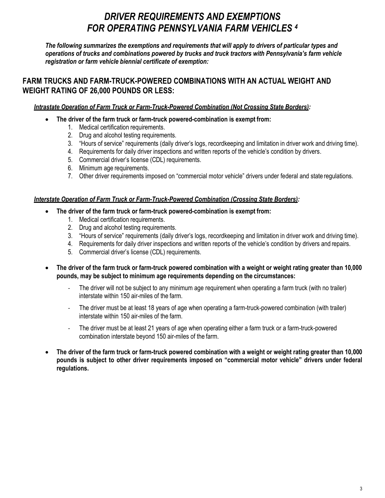# *DRIVER REQUIREMENTS AND EXEMPTIONS FOR OPERATING PENNSYLVANIA FARM VEHICLES <sup>4</sup>*

*The following summarizes the exemptions and requirements that will apply to drivers of particular types and operations of trucks and combinations powered by trucks and truck tractors with Pennsylvania's farm vehicle registration or farm vehicle biennial certificate of exemption:*

## **FARM TRUCKS AND FARM-TRUCK-POWERED COMBINATIONS WITH AN ACTUAL WEIGHT AND WEIGHT RATING OF 26,000 POUNDS OR LESS:**

## *Intrastate Operation of Farm Truck or Farm-Truck-Powered Combination (Not Crossing State Borders):*

- **The driver of the farm truck or farm-truck powered-combination is exempt from:**
	- 1. Medical certification requirements.
	- 2. Drug and alcohol testing requirements.
	- 3. "Hours of service" requirements (daily driver's logs, recordkeeping and limitation in driver work and driving time).
	- 4. Requirements for daily driver inspections and written reports of the vehicle's condition by drivers.
	- 5. Commercial driver's license (CDL) requirements.
	- 6. Minimum age requirements.
	- 7. Other driver requirements imposed on "commercial motor vehicle" drivers under federal and state regulations.

## *Interstate Operation of Farm Truck or Farm-Truck-Powered Combination (Crossing State Borders):*

- **The driver of the farm truck or farm-truck powered-combination is exempt from:**
	- 1. Medical certification requirements.
	- 2. Drug and alcohol testing requirements.
	- 3. "Hours of service" requirements (daily driver's logs, recordkeeping and limitation in driver work and driving time).
	- 4. Requirements for daily driver inspections and written reports of the vehicle's condition by drivers and repairs.
	- 5. Commercial driver's license (CDL) requirements.
- **The driver of the farm truck or farm-truck powered combination with a weight or weight rating greater than 10,000 pounds, may be subject to minimum age requirements depending on the circumstances:**
	- The driver will not be subject to any minimum age requirement when operating a farm truck (with no trailer) interstate within 150 air-miles of the farm.
	- The driver must be at least 18 years of age when operating a farm-truck-powered combination (with trailer) interstate within 150 air-miles of the farm.
	- The driver must be at least 21 years of age when operating either a farm truck or a farm-truck-powered combination interstate beyond 150 air-miles of the farm.
- **The driver of the farm truck or farm-truck powered combination with a weight or weight rating greater than 10,000 pounds is subject to other driver requirements imposed on "commercial motor vehicle" drivers under federal regulations.**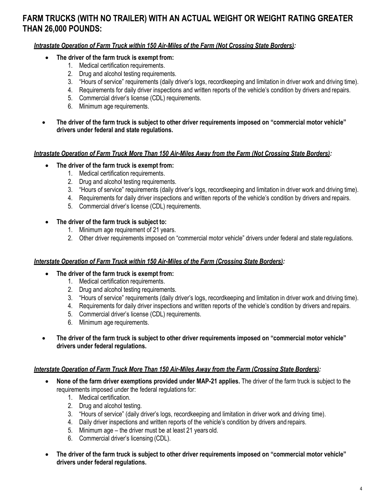# **FARM TRUCKS (WITH NO TRAILER) WITH AN ACTUAL WEIGHT OR WEIGHT RATING GREATER THAN 26,000 POUNDS:**

*Intrastate Operation of Farm Truck within 150 Air-Miles of the Farm (Not Crossing State Borders):*

- **The driver of the farm truck is exempt from:**
	- 1. Medical certification requirements.
	- 2. Drug and alcohol testing requirements.
	- 3. "Hours of service" requirements (daily driver's logs, recordkeeping and limitation in driver work and driving time).
	- 4. Requirements for daily driver inspections and written reports of the vehicle's condition by drivers and repairs.
	- 5. Commercial driver's license (CDL) requirements.
	- 6. Minimum age requirements.
- **The driver of the farm truck is subject to other driver requirements imposed on "commercial motor vehicle" drivers under federal and state regulations.**

#### *Intrastate Operation of Farm Truck More Than 150 Air-Miles Away from the Farm (Not Crossing State Borders):*

- **The driver of the farm truck is exempt from:**
	- 1. Medical certification requirements.
	- 2. Drug and alcohol testing requirements.
	- 3. "Hours of service" requirements (daily driver's logs, recordkeeping and limitation in driver work and driving time).
	- 4. Requirements for daily driver inspections and written reports of the vehicle's condition by drivers and repairs.
	- 5. Commercial driver's license (CDL) requirements.
- **The driver of the farm truck is subject to:**
	- 1. Minimum age requirement of 21 years.
	- 2. Other driver requirements imposed on "commercial motor vehicle" drivers under federal and state regulations.

#### *Interstate Operation of Farm Truck within 150 Air-Miles of the Farm (Crossing State Borders):*

- **The driver of the farm truck is exempt from:**
	- 1. Medical certification requirements.
	- 2. Drug and alcohol testing requirements.
	- 3. "Hours of service" requirements (daily driver's logs, recordkeeping and limitation in driver work and driving time).
	- 4. Requirements for daily driver inspections and written reports of the vehicle's condition by drivers and repairs.
	- 5. Commercial driver's license (CDL) requirements.
	- 6. Minimum age requirements.
- **The driver of the farm truck is subject to other driver requirements imposed on "commercial motor vehicle" drivers under federal regulations.**

#### *Interstate Operation of Farm Truck More Than 150 Air-Miles Away from the Farm (Crossing State Borders):*

- **None of the farm driver exemptions provided under MAP-21 applies.** The driver of the farm truck is subject to the requirements imposed under the federal regulations for:
	- 1. Medical certification.
	- 2. Drug and alcohol testing.
	- 3. "Hours of service" (daily driver's logs, recordkeeping and limitation in driver work and driving time).
	- 4. Daily driver inspections and written reports of the vehicle's condition by drivers and repairs.
	- 5. Minimum age the driver must be at least 21 years old.
	- 6. Commercial driver's licensing (CDL).
- **The driver of the farm truck is subject to other driver requirements imposed on "commercial motor vehicle" drivers under federal regulations.**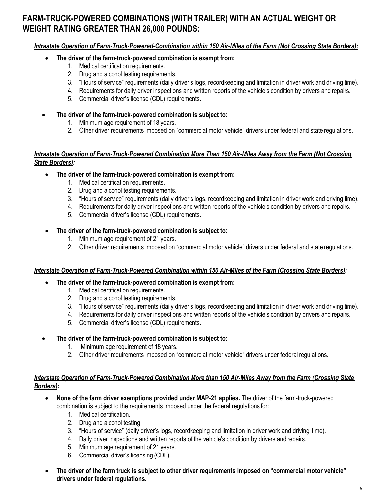# **FARM-TRUCK-POWERED COMBINATIONS (WITH TRAILER) WITH AN ACTUAL WEIGHT OR WEIGHT RATING GREATER THAN 26,000 POUNDS:**

#### *Intrastate Operation of Farm-Truck-Powered-Combination within 150 Air-Miles of the Farm (Not Crossing State Borders):*

- **The driver of the farm-truck-powered combination is exempt from:**
	- 1. Medical certification requirements.
	- 2. Drug and alcohol testing requirements.
	- 3. "Hours of service" requirements (daily driver's logs, recordkeeping and limitation in driver work and driving time).
	- 4. Requirements for daily driver inspections and written reports of the vehicle's condition by drivers and repairs.
	- 5. Commercial driver's license (CDL) requirements.
- **The driver of the farm-truck-powered combination is subject to:**
	- 1. Minimum age requirement of 18 years.
	- 2. Other driver requirements imposed on "commercial motor vehicle" drivers under federal and state regulations.

#### *Intrastate Operation of Farm-Truck-Powered Combination More Than 150 Air-Miles Away from the Farm (Not Crossing State Borders):*

- **The driver of the farm-truck-powered combination is exempt from:**
	- 1. Medical certification requirements.
	- 2. Drug and alcohol testing requirements.
	- 3. "Hours of service" requirements (daily driver's logs, recordkeeping and limitation in driver work and driving time).
	- 4. Requirements for daily driver inspections and written reports of the vehicle's condition by drivers and repairs.
	- 5. Commercial driver's license (CDL) requirements.

#### • **The driver of the farm-truck-powered combination is subject to:**

- 1. Minimum age requirement of 21 years.
- 2. Other driver requirements imposed on "commercial motor vehicle" drivers under federal and state regulations.

#### *Interstate Operation of Farm-Truck-Powered Combination within 150 Air-Miles of the Farm (Crossing State Borders):*

- **The driver of the farm-truck-powered combination is exempt from:**
	- 1. Medical certification requirements.
	- 2. Drug and alcohol testing requirements.
	- 3. "Hours of service" requirements (daily driver's logs, recordkeeping and limitation in driver work and driving time).
	- 4. Requirements for daily driver inspections and written reports of the vehicle's condition by drivers and repairs.
	- 5. Commercial driver's license (CDL) requirements.

#### • **The driver of the farm-truck-powered combination is subject to:**

- 1. Minimum age requirement of 18 years.
- 2. Other driver requirements imposed on "commercial motor vehicle" drivers under federal regulations.

#### *Interstate Operation of Farm-Truck-Powered Combination More than 150 Air-Miles Away from the Farm (Crossing State Borders):*

- **None of the farm driver exemptions provided under MAP-21 applies.** The driver of the farm-truck-powered combination is subject to the requirements imposed under the federal regulations for:
	- 1. Medical certification.
	- 2. Drug and alcohol testing.
	- 3. "Hours of service" (daily driver's logs, recordkeeping and limitation in driver work and driving time).
	- 4. Daily driver inspections and written reports of the vehicle's condition by drivers and repairs.
	- 5. Minimum age requirement of 21 years.
	- 6. Commercial driver's licensing (CDL).
- **The driver of the farm truck is subject to other driver requirements imposed on "commercial motor vehicle" drivers under federal regulations.**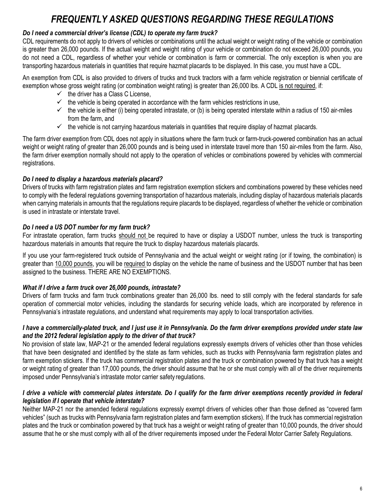# *FREQUENTLY ASKED QUESTIONS REGARDING THESE REGULATIONS*

# *Do I need a commercial driver's license (CDL) to operate my farm truck?*

CDL requirements do not apply to drivers of vehicles or combinations until the actual weight or weight rating of the vehicle or combination is greater than 26,000 pounds. If the actual weight and weight rating of your vehicle or combination do not exceed 26,000 pounds, you do not need a CDL, regardless of whether your vehicle or combination is farm or commercial. The only exception is when you are transporting hazardous materials in quantities that require hazmat placards to be displayed. In this case, you must have a CDL.

An exemption from CDL is also provided to drivers of trucks and truck tractors with a farm vehicle registration or biennial certificate of exemption whose gross weight rating (or combination weight rating) is greater than 26,000 lbs. A CDL is not required, if:

- $\checkmark$  the driver has a Class C License,
- $\checkmark$  the vehicle is being operated in accordance with the farm vehicles restrictions in use,
- $\checkmark$  the vehicle is either (i) being operated intrastate, or (b) is being operated interstate within a radius of 150 air-miles from the farm, and
- $\checkmark$  the vehicle is not carrying hazardous materials in quantities that require display of hazmat placards.

The farm driver exemption from CDL does not apply in situations where the farm truck or farm-truck-powered combination has an actual weight or weight rating of greater than 26,000 pounds and is being used in interstate travel more than 150 air-miles from the farm. Also, the farm driver exemption normally should not apply to the operation of vehicles or combinations powered by vehicles with commercial registrations.

## *Do I need to display a hazardous materials placard?*

Drivers of trucks with farm registration plates and farm registration exemption stickers and combinations powered by these vehicles need to comply with the federal regulations governing transportation of hazardous materials, including display of hazardous materials placards when carrying materials in amounts that the regulations require placards to be displayed, regardless of whether the vehicle or combination is used in intrastate or interstate travel.

## *Do I need a US DOT number for my farm truck?*

For intrastate operation, farm trucks should not be required to have or display a USDOT number, unless the truck is transporting hazardous materials in amounts that require the truck to display hazardous materials placards.

If you use your farm-registered truck outside of Pennsylvania and the actual weight or weight rating (or if towing, the combination) is greater than 10,000 pounds, you will be required to display on the vehicle the name of business and the USDOT number that has been assigned to the business. THERE ARE NO EXEMPTIONS.

## *What if I drive a farm truck over 26,000 pounds, intrastate?*

Drivers of farm trucks and farm truck combinations greater than 26,000 lbs. need to still comply with the federal standards for safe operation of commercial motor vehicles, including the standards for securing vehicle loads, which are incorporated by reference in Pennsylvania's intrastate regulations, and understand what requirements may apply to local transportation activities.

#### *I have a commercially-plated truck, and I just use it in Pennsylvania. Do the farm driver exemptions provided under state law and the 2012 federal legislation apply to the driver of that truck?*

No provision of state law, MAP-21 or the amended federal regulations expressly exempts drivers of vehicles other than those vehicles that have been designated and identified by the state as farm vehicles, such as trucks with Pennsylvania farm registration plates and farm exemption stickers. If the truck has commercial registration plates and the truck or combination powered by that truck has a weight or weight rating of greater than 17,000 pounds, the driver should assume that he or she must comply with all of the driver requirements imposed under Pennsylvania's intrastate motor carrier safety regulations.

#### *I drive a vehicle with commercial plates interstate. Do I qualify for the farm driver exemptions recently provided in federal legislation if I operate that vehicle interstate?*

Neither MAP-21 nor the amended federal regulations expressly exempt drivers of vehicles other than those defined as "covered farm vehicles" (such as trucks with Pennsylvania farm registration plates and farm exemption stickers). If the truck has commercial registration plates and the truck or combination powered by that truck has a weight or weight rating of greater than 10,000 pounds, the driver should assume that he or she must comply with all of the driver requirements imposed under the Federal Motor Carrier Safety Regulations.